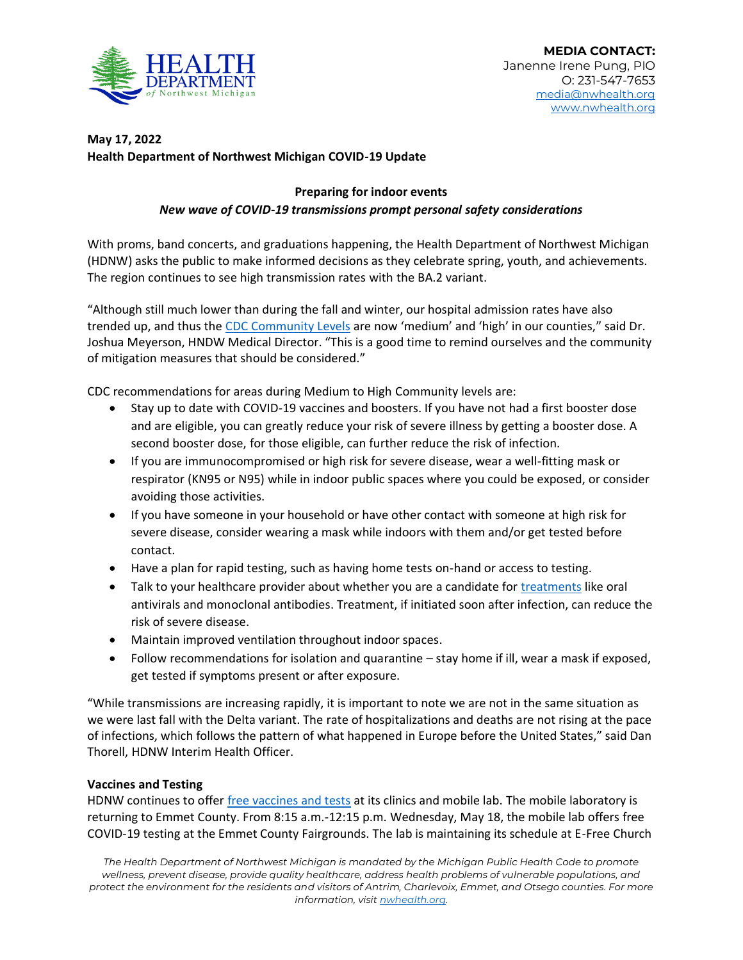

## **May 17, 2022 Health Department of Northwest Michigan COVID-19 Update**

## **Preparing for indoor events** *New wave of COVID-19 transmissions prompt personal safety considerations*

With proms, band concerts, and graduations happening, the Health Department of Northwest Michigan (HDNW) asks the public to make informed decisions as they celebrate spring, youth, and achievements. The region continues to see high transmission rates with the BA.2 variant.

"Although still much lower than during the fall and winter, our hospital admission rates have also trended up, and thus the [CDC Community Levels](https://www.cdc.gov/coronavirus/2019-ncov/science/community-levels.html) are now 'medium' and 'high' in our counties," said Dr. Joshua Meyerson, HNDW Medical Director. "This is a good time to remind ourselves and the community of mitigation measures that should be considered."

CDC recommendations for areas during Medium to High Community levels are:

- Stay up to date with COVID-19 vaccines and boosters. If you have not had a first booster dose and are eligible, you can greatly reduce your risk of severe illness by getting a booster dose. A second booster dose, for those eligible, can further reduce the risk of infection.
- If you are immunocompromised or high risk for severe disease, wear a well-fitting mask or respirator (KN95 or N95) while in indoor public spaces where you could be exposed, or consider avoiding those activities.
- If you have someone in your household or have other contact with someone at high risk for severe disease, consider wearing a mask while indoors with them and/or get tested before contact.
- Have a plan for rapid testing, such as having home tests on-hand or access to testing.
- Talk to your healthcare provider about whether you are a candidate for [treatments](https://emergency.cdc.gov/newsletters/coca/040422.htm) like oral antivirals and monoclonal antibodies. Treatment, if initiated soon after infection, can reduce the risk of severe disease.
- Maintain improved ventilation throughout indoor spaces.
- Follow recommendations for isolation and quarantine stay home if ill, wear a mask if exposed, get tested if symptoms present or after exposure.

"While transmissions are increasing rapidly, it is important to note we are not in the same situation as we were last fall with the Delta variant. The rate of hospitalizations and deaths are not rising at the pace of infections, which follows the pattern of what happened in Europe before the United States," said Dan Thorell, HDNW Interim Health Officer.

## **Vaccines and Testing**

HDNW continues to offer [free vaccines and tests](https://www.nwhealth.org/covid19imm.html) at its clinics and mobile lab. The mobile laboratory is returning to Emmet County. From 8:15 a.m.-12:15 p.m. Wednesday, May 18, the mobile lab offers free COVID-19 testing at the Emmet County Fairgrounds. The lab is maintaining its schedule at E-Free Church

*The Health Department of Northwest Michigan is mandated by the Michigan Public Health Code to promote wellness, prevent disease, provide quality healthcare, address health problems of vulnerable populations, and protect the environment for the residents and visitors of Antrim, Charlevoix, Emmet, and Otsego counties. For more information, visi[t nwhealth.org.](http://nwhealth.org/)*